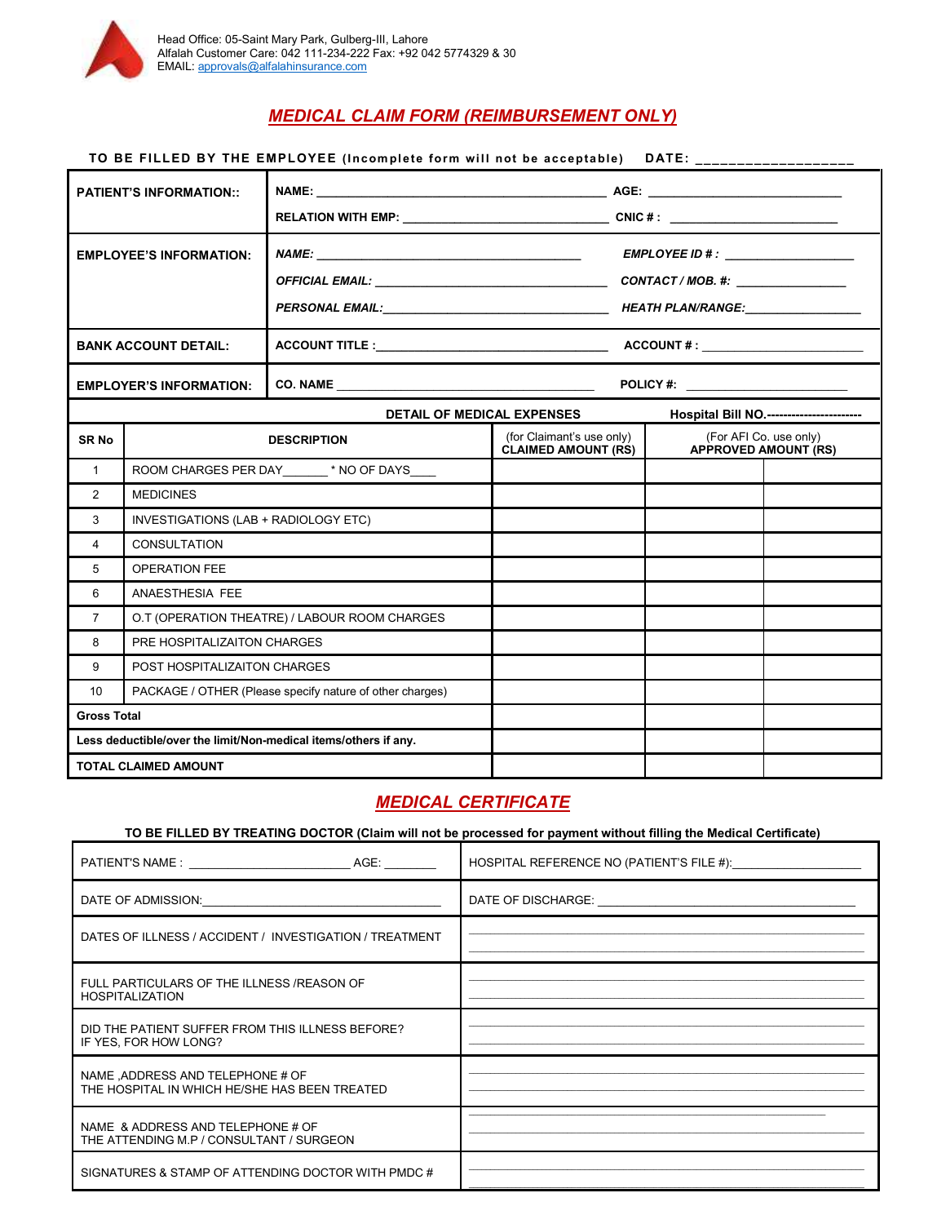

## *MEDICAL CLAIM FORM (REIMBURSEMENT ONLY)*

| TO BE FILLED BY THE EMPLOYEE (Incomplete form will not be acceptable) DATE: ___________________ |                                               |                                                                 |                                                         |                                                       |  |  |
|-------------------------------------------------------------------------------------------------|-----------------------------------------------|-----------------------------------------------------------------|---------------------------------------------------------|-------------------------------------------------------|--|--|
| <b>PATIENT'S INFORMATION::</b>                                                                  |                                               |                                                                 |                                                         |                                                       |  |  |
| <b>EMPLOYEE'S INFORMATION:</b>                                                                  |                                               |                                                                 |                                                         |                                                       |  |  |
| <b>BANK ACCOUNT DETAIL:</b>                                                                     |                                               |                                                                 |                                                         |                                                       |  |  |
| <b>EMPLOYER'S INFORMATION:</b>                                                                  |                                               |                                                                 |                                                         |                                                       |  |  |
| <b>DETAIL OF MEDICAL EXPENSES</b>                                                               |                                               |                                                                 | Hospital Bill NO.-----------------------                |                                                       |  |  |
| SR No                                                                                           | <b>DESCRIPTION</b>                            |                                                                 | (for Claimant's use only)<br><b>CLAIMED AMOUNT (RS)</b> | (For AFI Co. use only)<br><b>APPROVED AMOUNT (RS)</b> |  |  |
| $\mathbf{1}$                                                                                    | ROOM CHARGES PER DAY ______ * NO OF DAYS____  |                                                                 |                                                         |                                                       |  |  |
| 2                                                                                               | <b>MEDICINES</b>                              |                                                                 |                                                         |                                                       |  |  |
| 3                                                                                               | INVESTIGATIONS (LAB + RADIOLOGY ETC)          |                                                                 |                                                         |                                                       |  |  |
| 4                                                                                               | <b>CONSULTATION</b>                           |                                                                 |                                                         |                                                       |  |  |
| 5                                                                                               | <b>OPERATION FEE</b>                          |                                                                 |                                                         |                                                       |  |  |
| 6                                                                                               | ANAESTHESIA FEE                               |                                                                 |                                                         |                                                       |  |  |
| $\overline{7}$                                                                                  | O.T (OPERATION THEATRE) / LABOUR ROOM CHARGES |                                                                 |                                                         |                                                       |  |  |
| 8                                                                                               | PRE HOSPITALIZAITON CHARGES                   |                                                                 |                                                         |                                                       |  |  |
| 9                                                                                               | POST HOSPITALIZAITON CHARGES                  |                                                                 |                                                         |                                                       |  |  |
| PACKAGE / OTHER (Please specify nature of other charges)<br>10                                  |                                               |                                                                 |                                                         |                                                       |  |  |
| <b>Gross Total</b>                                                                              |                                               |                                                                 |                                                         |                                                       |  |  |
|                                                                                                 |                                               | Less deductible/over the limit/Non-medical items/others if any. |                                                         |                                                       |  |  |
| <b>TOTAL CLAIMED AMOUNT</b>                                                                     |                                               |                                                                 |                                                         |                                                       |  |  |

## *MEDICAL CERTIFICATE*

#### **TO BE FILLED BY TREATING DOCTOR (Claim will not be processed for payment without filling the Medical Certificate)**

| PATIENT'S NAME : AGE:                                                                                                                                                                                                          | HOSPITAL REFERENCE NO (PATIENT'S FILE #): |
|--------------------------------------------------------------------------------------------------------------------------------------------------------------------------------------------------------------------------------|-------------------------------------------|
| DATE OF ADMISSION: The contract of the contract of the contract of the contract of the contract of the contract of the contract of the contract of the contract of the contract of the contract of the contract of the contrac |                                           |
| DATES OF ILLNESS / ACCIDENT / INVESTIGATION / TREATMENT                                                                                                                                                                        |                                           |
| FULL PARTICULARS OF THE ILLNESS /REASON OF<br><b>HOSPITALIZATION</b>                                                                                                                                                           |                                           |
| DID THE PATIENT SUFFER FROM THIS ILLNESS BEFORE?<br>IF YES, FOR HOW LONG?                                                                                                                                                      |                                           |
| NAME, ADDRESS AND TELEPHONE # OF<br>THE HOSPITAL IN WHICH HE/SHE HAS BEEN TREATED                                                                                                                                              |                                           |
| NAME & ADDRESS AND TELEPHONE # OF<br>THE ATTENDING M.P / CONSULTANT / SURGEON                                                                                                                                                  |                                           |
| SIGNATURES & STAMP OF ATTENDING DOCTOR WITH PMDC #                                                                                                                                                                             |                                           |